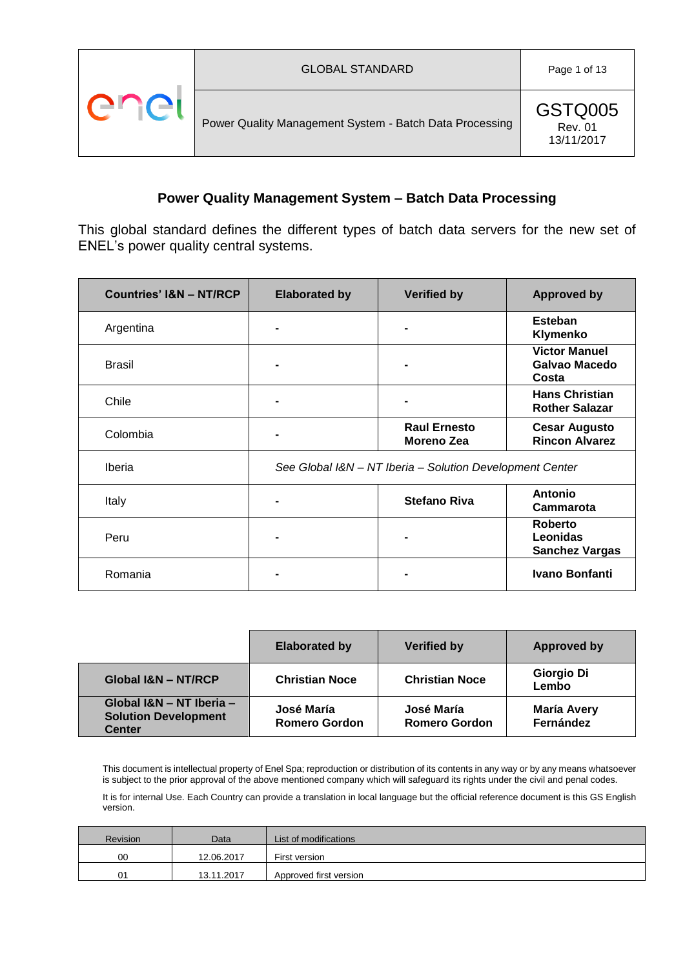

This global standard defines the different types of batch data servers for the new set of ENEL's power quality central systems.

| <b>Countries' I&amp;N - NT/RCP</b> | <b>Elaborated by</b>                                     | <b>Verified by</b>                       | <b>Approved by</b>                                  |
|------------------------------------|----------------------------------------------------------|------------------------------------------|-----------------------------------------------------|
| Argentina                          |                                                          |                                          | Esteban<br>Klymenko                                 |
| <b>Brasil</b>                      |                                                          |                                          | <b>Victor Manuel</b><br>Galvao Macedo<br>Costa      |
| Chile                              |                                                          |                                          | <b>Hans Christian</b><br><b>Rother Salazar</b>      |
| Colombia                           |                                                          | <b>Raul Ernesto</b><br><b>Moreno Zea</b> | <b>Cesar Augusto</b><br><b>Rincon Alvarez</b>       |
| Iberia                             | See Global I&N - NT Iberia - Solution Development Center |                                          |                                                     |
| Italy                              |                                                          | <b>Stefano Riva</b>                      | <b>Antonio</b><br><b>Cammarota</b>                  |
| Peru                               |                                                          |                                          | <b>Roberto</b><br>Leonidas<br><b>Sanchez Vargas</b> |
| Romania                            |                                                          |                                          | <b>Ivano Bonfanti</b>                               |

|                                                                          | <b>Elaborated by</b>               | <b>Verified by</b>                 | <b>Approved by</b>              |
|--------------------------------------------------------------------------|------------------------------------|------------------------------------|---------------------------------|
| <b>Global I&amp;N - NT/RCP</b>                                           | <b>Christian Noce</b>              | <b>Christian Noce</b>              | Giorgio Di<br>Lembo             |
| Global I&N - NT Iberia -<br><b>Solution Development</b><br><b>Center</b> | José María<br><b>Romero Gordon</b> | José María<br><b>Romero Gordon</b> | <b>María Avery</b><br>Fernández |

This document is intellectual property of Enel Spa; reproduction or distribution of its contents in any way or by any means whatsoever is subject to the prior approval of the above mentioned company which will safeguard its rights under the civil and penal codes.

It is for internal Use. Each Country can provide a translation in local language but the official reference document is this GS English version.

| <b>Revision</b> | Data       | List of modifications  |
|-----------------|------------|------------------------|
| 00              | 12.06.2017 | First version          |
| 01              | 13.11.2017 | Approved first version |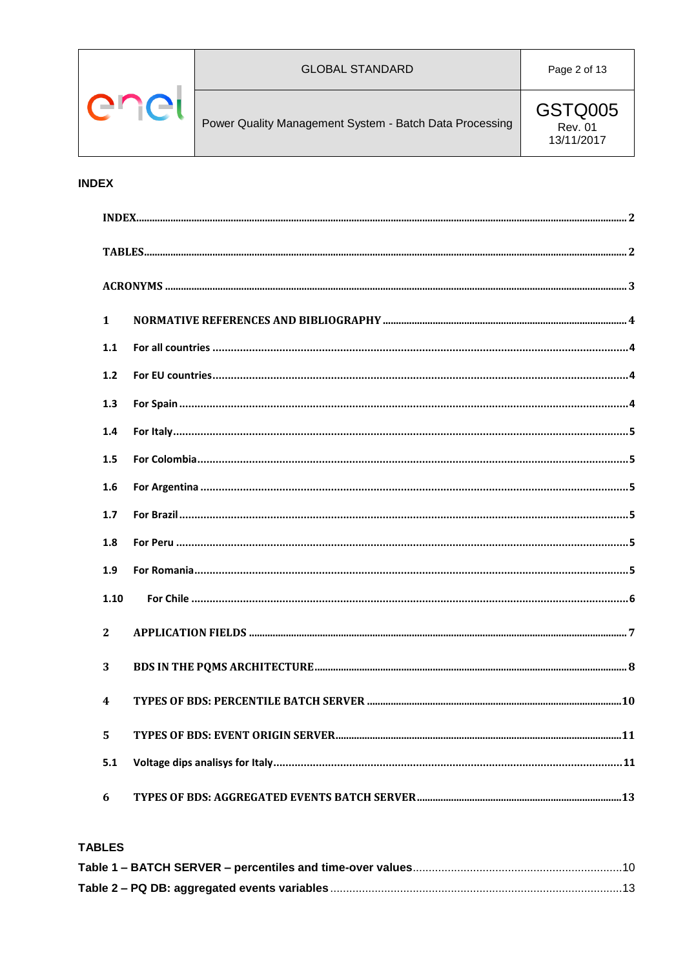

**GSTQ005 Rev. 01** 13/11/2017

### <span id="page-1-0"></span>**INDEX**

| $\mathbf{1}$     |  |
|------------------|--|
| 1.1              |  |
| 1.2              |  |
| 1.3              |  |
| 1.4              |  |
| 1.5              |  |
| 1.6              |  |
| 1.7              |  |
| 1.8              |  |
| 1.9              |  |
| 1.10             |  |
| $\overline{2}$   |  |
| 3                |  |
| $\boldsymbol{4}$ |  |
| 5                |  |
| 5.1              |  |
| 6                |  |

### <span id="page-1-1"></span>**TABLES**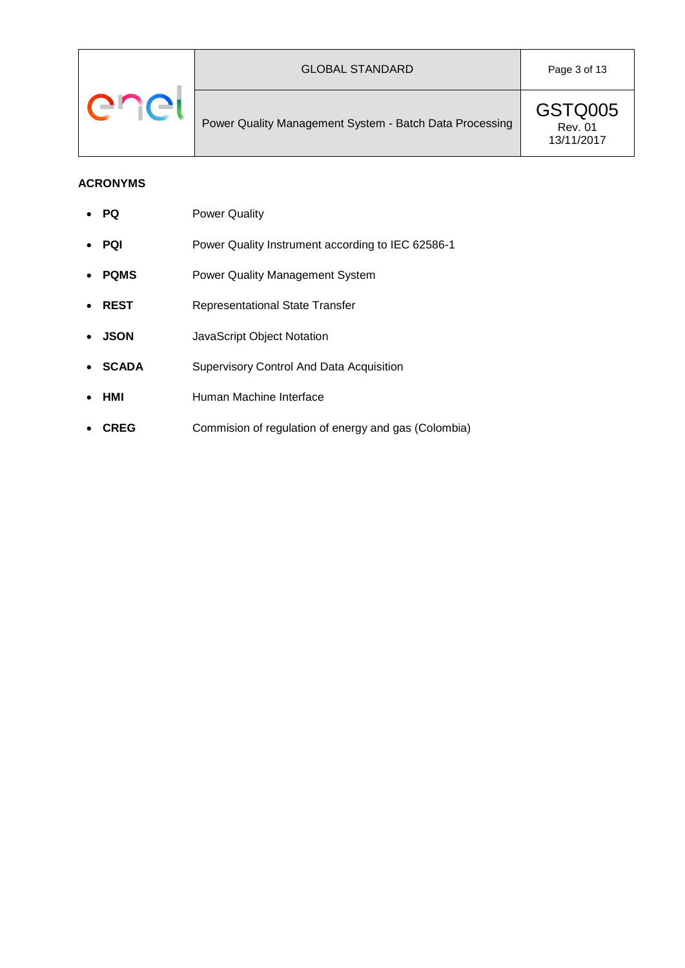GSTQ005 Rev. 01 13/11/2017

### <span id="page-2-0"></span>**ACRONYMS**

- **PQ** Power Quality
- PQI Power Quality Instrument according to IEC 62586-1
- **PQMS** Power Quality Management System
- **REST** Representational State Transfer
- **JSON** JavaScript Object Notation
- **SCADA** Supervisory Control And Data Acquisition
- **HMI** Human Machine Interface
- **CREG** Commision of regulation of energy and gas (Colombia)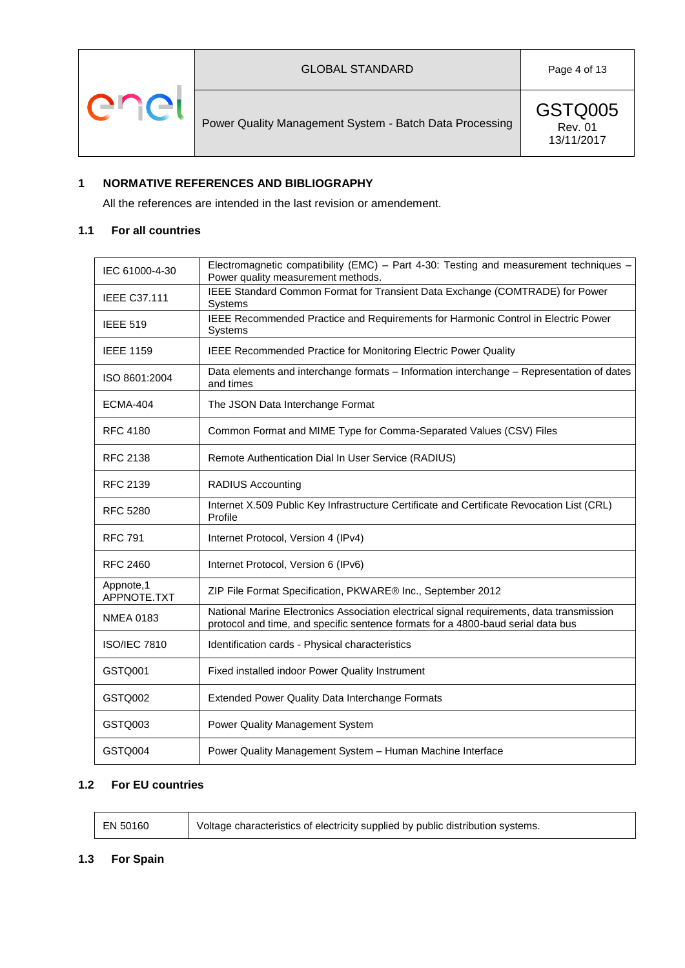



GSTQ005 Rev. 01 13/11/2017

# <span id="page-3-0"></span>**1 NORMATIVE REFERENCES AND BIBLIOGRAPHY**

All the references are intended in the last revision or amendement.

### <span id="page-3-1"></span>**1.1 For all countries**

| IEC 61000-4-30           | Electromagnetic compatibility (EMC) - Part 4-30: Testing and measurement techniques -<br>Power quality measurement methods.                                                   |
|--------------------------|-------------------------------------------------------------------------------------------------------------------------------------------------------------------------------|
| <b>IEEE C37.111</b>      | IEEE Standard Common Format for Transient Data Exchange (COMTRADE) for Power<br>Systems                                                                                       |
| <b>IEEE 519</b>          | IEEE Recommended Practice and Requirements for Harmonic Control in Electric Power<br><b>Systems</b>                                                                           |
| <b>IEEE 1159</b>         | IEEE Recommended Practice for Monitoring Electric Power Quality                                                                                                               |
| ISO 8601:2004            | Data elements and interchange formats - Information interchange - Representation of dates<br>and times                                                                        |
| <b>ECMA-404</b>          | The JSON Data Interchange Format                                                                                                                                              |
| <b>RFC 4180</b>          | Common Format and MIME Type for Comma-Separated Values (CSV) Files                                                                                                            |
| <b>RFC 2138</b>          | Remote Authentication Dial In User Service (RADIUS)                                                                                                                           |
| <b>RFC 2139</b>          | <b>RADIUS Accounting</b>                                                                                                                                                      |
| <b>RFC 5280</b>          | Internet X.509 Public Key Infrastructure Certificate and Certificate Revocation List (CRL)<br>Profile                                                                         |
| <b>RFC 791</b>           | Internet Protocol, Version 4 (IPv4)                                                                                                                                           |
| <b>RFC 2460</b>          | Internet Protocol, Version 6 (IPv6)                                                                                                                                           |
| Appnote,1<br>APPNOTE.TXT | ZIP File Format Specification, PKWARE® Inc., September 2012                                                                                                                   |
| <b>NMEA 0183</b>         | National Marine Electronics Association electrical signal requirements, data transmission<br>protocol and time, and specific sentence formats for a 4800-baud serial data bus |
| <b>ISO/IEC 7810</b>      | Identification cards - Physical characteristics                                                                                                                               |
| GSTQ001                  | Fixed installed indoor Power Quality Instrument                                                                                                                               |
| GSTQ002                  | Extended Power Quality Data Interchange Formats                                                                                                                               |
| GSTQ003                  | Power Quality Management System                                                                                                                                               |
| GSTQ004                  | Power Quality Management System - Human Machine Interface                                                                                                                     |

#### <span id="page-3-2"></span>**1.2 For EU countries**

| EN 50160<br>Voltage characteristics of electricity supplied by public distribution systems. |
|---------------------------------------------------------------------------------------------|
|---------------------------------------------------------------------------------------------|

#### <span id="page-3-3"></span>**1.3 For Spain**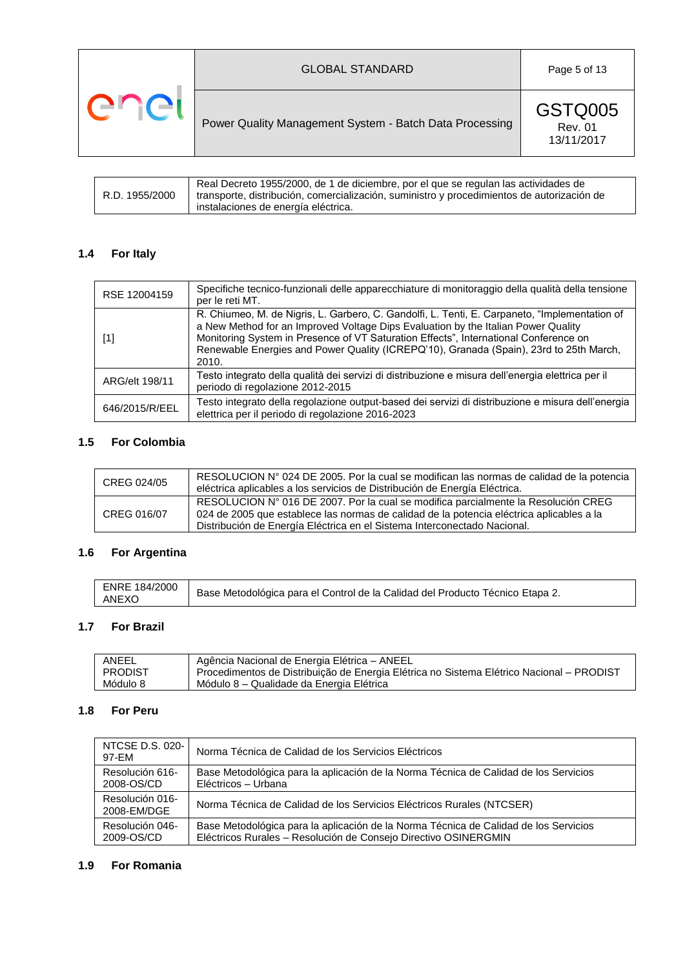|     | <b>GLOBAL STANDARD</b>                                  | Page 5 of 13                            |
|-----|---------------------------------------------------------|-----------------------------------------|
| ene | Power Quality Management System - Batch Data Processing | GSTQ005<br><b>Rev. 01</b><br>13/11/2017 |

|                | Real Decreto 1955/2000, de 1 de diciembre, por el que se regulan las actividades de        |
|----------------|--------------------------------------------------------------------------------------------|
| R.D. 1955/2000 | transporte, distribución, comercialización, suministro y procedimientos de autorización de |
|                | instalaciones de energía eléctrica.                                                        |

# <span id="page-4-0"></span>**1.4 For Italy**

| RSE 12004159   | Specifiche tecnico-funzionali delle apparecchiature di monitoraggio della qualità della tensione<br>per le reti MT.                                                                                                                                                                                                                                                           |
|----------------|-------------------------------------------------------------------------------------------------------------------------------------------------------------------------------------------------------------------------------------------------------------------------------------------------------------------------------------------------------------------------------|
| $[1]$          | R. Chiumeo, M. de Nigris, L. Garbero, C. Gandolfi, L. Tenti, E. Carpaneto, "Implementation of<br>a New Method for an Improved Voltage Dips Evaluation by the Italian Power Quality<br>Monitoring System in Presence of VT Saturation Effects", International Conference on<br>Renewable Energies and Power Quality (ICREPQ'10), Granada (Spain), 23rd to 25th March,<br>2010. |
| ARG/elt 198/11 | Testo integrato della qualità dei servizi di distribuzione e misura dell'energia elettrica per il<br>periodo di regolazione 2012-2015                                                                                                                                                                                                                                         |
| 646/2015/R/EEL | Testo integrato della regolazione output-based dei servizi di distribuzione e misura dell'energia<br>elettrica per il periodo di regolazione 2016-2023                                                                                                                                                                                                                        |

# <span id="page-4-1"></span>**1.5 For Colombia**

| CREG 024/05 | RESOLUCION N° 024 DE 2005. Por la cual se modifican las normas de calidad de la potencia<br>eléctrica aplicables a los servicios de Distribución de Energía Eléctrica.                                                                                     |
|-------------|------------------------------------------------------------------------------------------------------------------------------------------------------------------------------------------------------------------------------------------------------------|
| CREG 016/07 | RESOLUCION N° 016 DE 2007. Por la cual se modifica parcialmente la Resolución CREG<br>024 de 2005 que establece las normas de calidad de la potencia eléctrica aplicables a la<br>Distribución de Energía Eléctrica en el Sistema Interconectado Nacional. |

# <span id="page-4-2"></span>**1.6 For Argentina**

| ENRE 184/2000<br><b>ANEXO</b> | Base Metodológica para el Control de la Calidad del Producto Técnico Etapa 2. |
|-------------------------------|-------------------------------------------------------------------------------|
|-------------------------------|-------------------------------------------------------------------------------|

### <span id="page-4-3"></span>**1.7 For Brazil**

| ANEEL          | Agência Nacional de Energia Elétrica - ANEEL                                             |
|----------------|------------------------------------------------------------------------------------------|
| <b>PRODIST</b> | Procedimentos de Distribuição de Energia Elétrica no Sistema Elétrico Nacional – PRODIST |
| Módulo 8       | Módulo 8 – Qualidade da Energia Elétrica                                                 |

# <span id="page-4-4"></span>**1.8 For Peru**

| NTCSE D.S. 020-<br>97-EM                                                                                                                                                                 | Norma Técnica de Calidad de los Servicios Eléctricos                                                        |  |
|------------------------------------------------------------------------------------------------------------------------------------------------------------------------------------------|-------------------------------------------------------------------------------------------------------------|--|
| Resolución 616-<br>2008-OS/CD                                                                                                                                                            | Base Metodológica para la aplicación de la Norma Técnica de Calidad de los Servicios<br>Eléctricos - Urbana |  |
| Resolución 016-<br>2008-EM/DGE                                                                                                                                                           | Norma Técnica de Calidad de los Servicios Eléctricos Rurales (NTCSER)                                       |  |
| Resolución 046-<br>Base Metodológica para la aplicación de la Norma Técnica de Calidad de los Servicios<br>Eléctricos Rurales - Resolución de Consejo Directivo OSINERGMIN<br>2009-OS/CD |                                                                                                             |  |

### <span id="page-4-5"></span>**1.9 For Romania**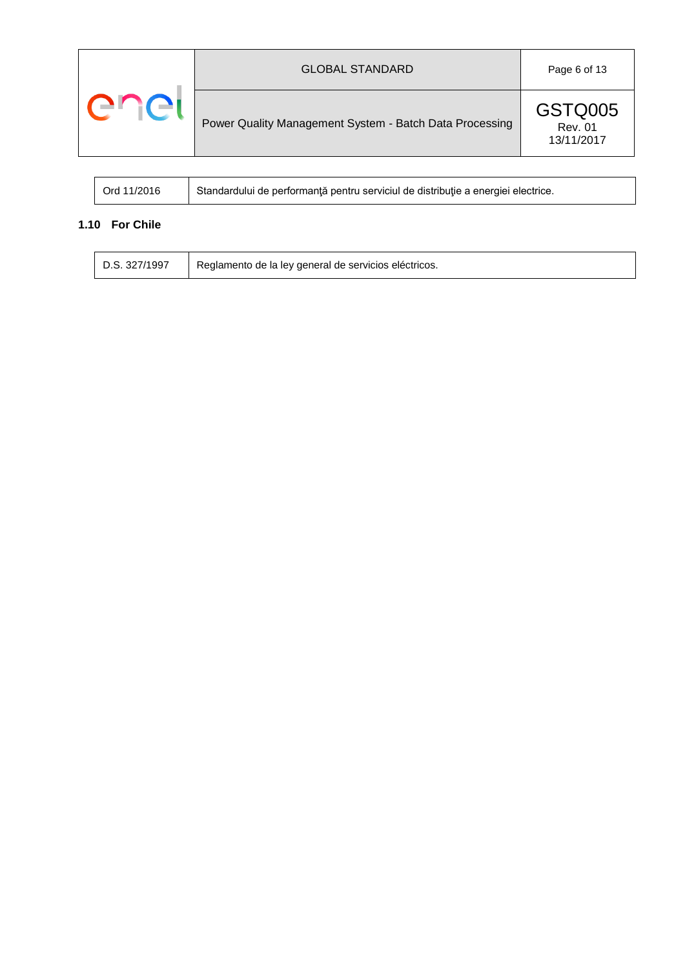| $\blacksquare$ | <b>GLOBAL STANDARD</b>                                  | Page 6 of 13                            |
|----------------|---------------------------------------------------------|-----------------------------------------|
|                | Power Quality Management System - Batch Data Processing | GSTQ005<br><b>Rev. 01</b><br>13/11/2017 |

| Ord 11/2016 | Standardului de performanță pentru serviciul de distribuție a energiei electrice. |
|-------------|-----------------------------------------------------------------------------------|
|-------------|-----------------------------------------------------------------------------------|

# <span id="page-5-0"></span>**1.10 For Chile**

 $\overline{\Gamma}$  $\mathbf{I}$ 

| D.S. 327/1997<br>Reglamento de la ley general de servicios eléctricos. |
|------------------------------------------------------------------------|
|------------------------------------------------------------------------|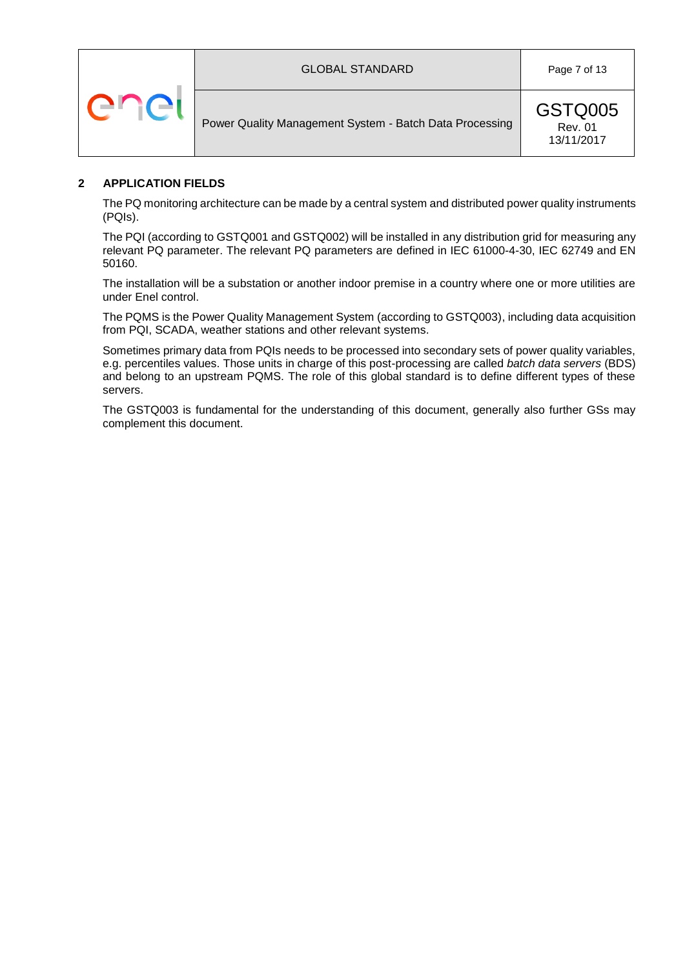





### <span id="page-6-0"></span>**2 APPLICATION FIELDS**

The PQ monitoring architecture can be made by a central system and distributed power quality instruments (PQIs).

The PQI (according to GSTQ001 and GSTQ002) will be installed in any distribution grid for measuring any relevant PQ parameter. The relevant PQ parameters are defined in IEC 61000-4-30, IEC 62749 and EN 50160.

The installation will be a substation or another indoor premise in a country where one or more utilities are under Enel control.

The PQMS is the Power Quality Management System (according to GSTQ003), including data acquisition from PQI, SCADA, weather stations and other relevant systems.

Sometimes primary data from PQIs needs to be processed into secondary sets of power quality variables, e.g. percentiles values. Those units in charge of this post-processing are called *batch data servers* (BDS) and belong to an upstream PQMS. The role of this global standard is to define different types of these servers.

The GSTQ003 is fundamental for the understanding of this document, generally also further GSs may complement this document.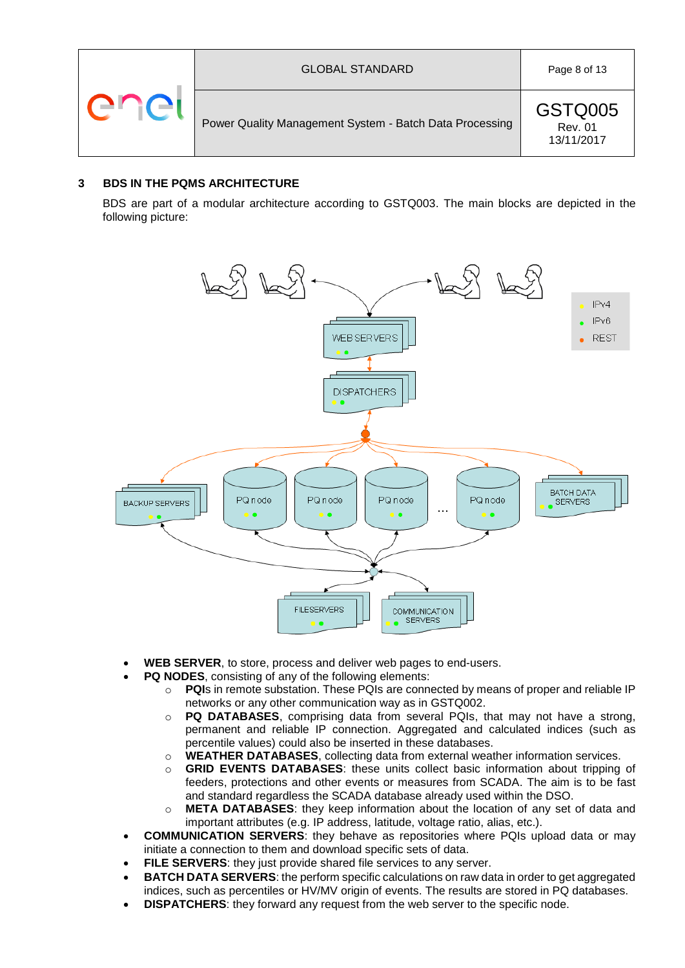

GSTQ005 Rev. 01 13/11/2017

### <span id="page-7-0"></span>**3 BDS IN THE PQMS ARCHITECTURE**

BDS are part of a modular architecture according to GSTQ003. The main blocks are depicted in the following picture:



- **WEB SERVER**, to store, process and deliver web pages to end-users.
- **PQ NODES**, consisting of any of the following elements:
	- o **PQI**s in remote substation. These PQIs are connected by means of proper and reliable IP networks or any other communication way as in GSTQ002.
	- o **PQ DATABASES**, comprising data from several PQIs, that may not have a strong, permanent and reliable IP connection. Aggregated and calculated indices (such as percentile values) could also be inserted in these databases.
	- o **WEATHER DATABASES**, collecting data from external weather information services.
	- o **GRID EVENTS DATABASES**: these units collect basic information about tripping of feeders, protections and other events or measures from SCADA. The aim is to be fast and standard regardless the SCADA database already used within the DSO.
	- o **META DATABASES**: they keep information about the location of any set of data and important attributes (e.g. IP address, latitude, voltage ratio, alias, etc.).
- **COMMUNICATION SERVERS**: they behave as repositories where PQIs upload data or may initiate a connection to them and download specific sets of data.
- **FILE SERVERS**: they just provide shared file services to any server.
- **BATCH DATA SERVERS**: the perform specific calculations on raw data in order to get aggregated indices, such as percentiles or HV/MV origin of events. The results are stored in PQ databases.
- **DISPATCHERS**: they forward any request from the web server to the specific node.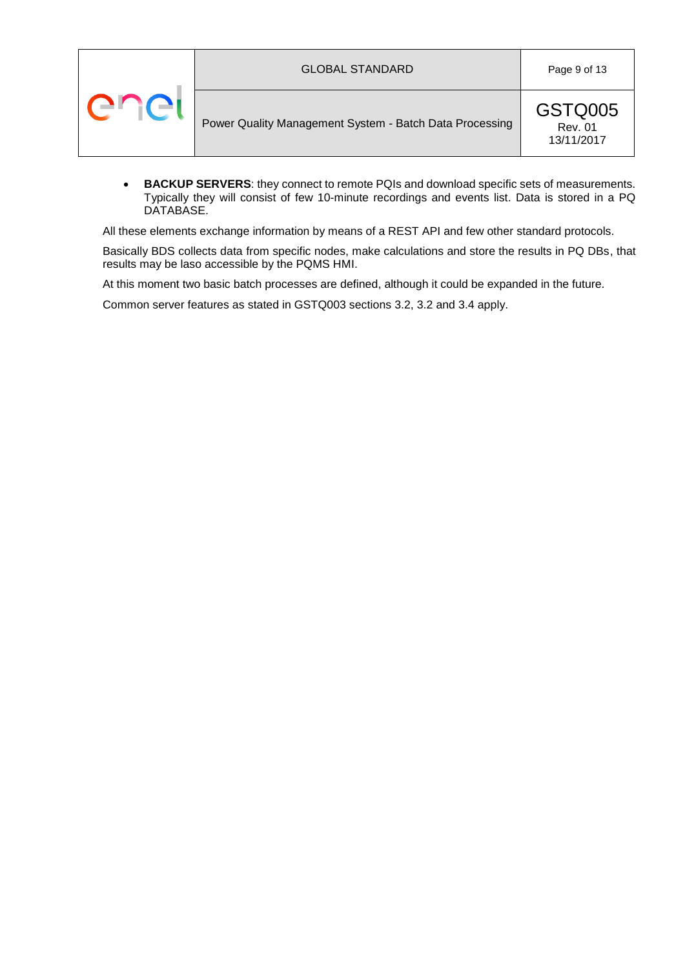| ener | <b>GLOBAL STANDARD</b>                                  | Page 9 of 13                            |
|------|---------------------------------------------------------|-----------------------------------------|
|      | Power Quality Management System - Batch Data Processing | GSTQ005<br><b>Rev. 01</b><br>13/11/2017 |

 **BACKUP SERVERS**: they connect to remote PQIs and download specific sets of measurements. Typically they will consist of few 10-minute recordings and events list. Data is stored in a PQ DATABASE.

All these elements exchange information by means of a REST API and few other standard protocols.

Basically BDS collects data from specific nodes, make calculations and store the results in PQ DBs, that results may be laso accessible by the PQMS HMI.

At this moment two basic batch processes are defined, although it could be expanded in the future.

Common server features as stated in GSTQ003 sections 3.2, 3.2 and 3.4 apply.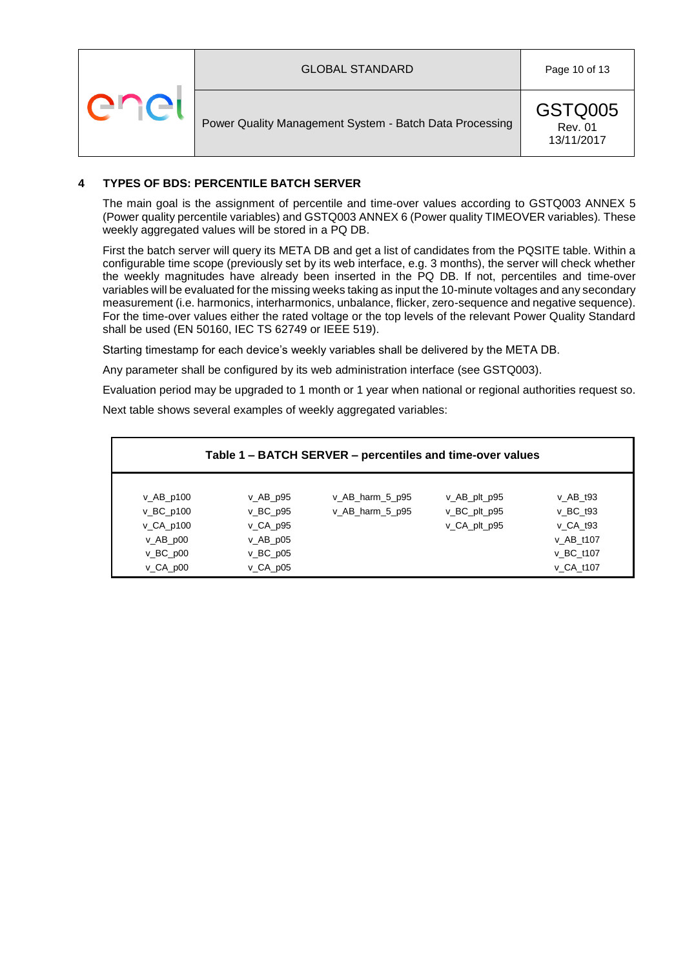

### <span id="page-9-0"></span>**4 TYPES OF BDS: PERCENTILE BATCH SERVER**

The main goal is the assignment of percentile and time-over values according to GSTQ003 ANNEX 5 (Power quality percentile variables) and GSTQ003 ANNEX 6 (Power quality TIMEOVER variables)*.* These weekly aggregated values will be stored in a PQ DB.

First the batch server will query its META DB and get a list of candidates from the PQSITE table. Within a configurable time scope (previously set by its web interface, e.g. 3 months), the server will check whether the weekly magnitudes have already been inserted in the PQ DB. If not, percentiles and time-over variables will be evaluated for the missing weeks taking as input the 10-minute voltages and any secondary measurement (i.e. harmonics, interharmonics, unbalance, flicker, zero-sequence and negative sequence). For the time-over values either the rated voltage or the top levels of the relevant Power Quality Standard shall be used (EN 50160, IEC TS 62749 or IEEE 519).

Starting timestamp for each device's weekly variables shall be delivered by the META DB.

Any parameter shall be configured by its web administration interface (see GSTQ003).

Evaluation period may be upgraded to 1 month or 1 year when national or regional authorities request so.

Next table shows several examples of weekly aggregated variables:

| Table 1 – BATCH SERVER – percentiles and time-over values                                                       |                                                                                                                                                    |                                    |                                              |                                                                             |
|-----------------------------------------------------------------------------------------------------------------|----------------------------------------------------------------------------------------------------------------------------------------------------|------------------------------------|----------------------------------------------|-----------------------------------------------------------------------------|
| v_AB_p100<br>$V_B C_p 100$<br>v CA p100<br>$v$ AB $p00$<br>$v$ <sub>DO</sub> $00$<br>$V$ <sub>_</sub> CA_ $p00$ | $V$ AB p95<br>$V$ <sub>D</sub> $B$ C <sub>p</sub> $95$<br>$V_{C}$ CA_p95<br>$V$ AB $p05$<br>$V$ <sub>DO</sub> $D$ <sub>DO5</sub><br>$V_{C}$ CA_p05 | v_AB_harm_5_p95<br>v_AB_harm_5_p95 | v_AB_plt_p95<br>v_BC_plt_p95<br>v_CA_plt_p95 | v AB t93<br>$v$ BC $t93$<br>v CA t93<br>v_AB_t107<br>v BC t107<br>v CA t107 |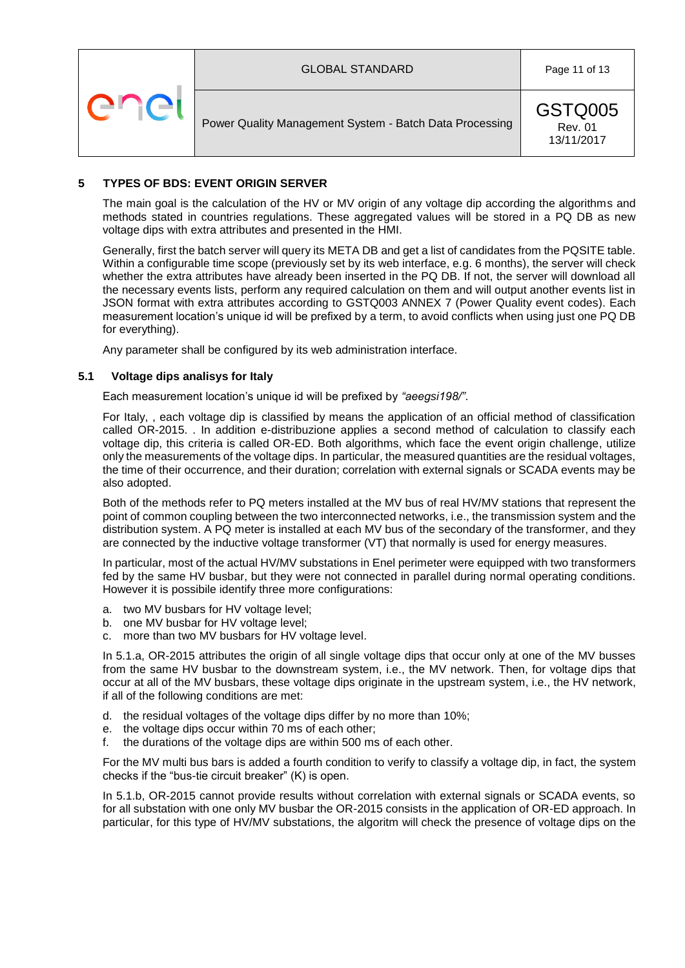

### <span id="page-10-0"></span>**5 TYPES OF BDS: EVENT ORIGIN SERVER**

The main goal is the calculation of the HV or MV origin of any voltage dip according the algorithms and methods stated in countries regulations. These aggregated values will be stored in a PQ DB as new voltage dips with extra attributes and presented in the HMI.

Generally, first the batch server will query its META DB and get a list of candidates from the PQSITE table. Within a configurable time scope (previously set by its web interface, e.g. 6 months), the server will check whether the extra attributes have already been inserted in the PQ DB. If not, the server will download all the necessary events lists, perform any required calculation on them and will output another events list in JSON format with extra attributes according to GSTQ003 ANNEX 7 (Power Quality event codes). Each measurement location's unique id will be prefixed by a term, to avoid conflicts when using just one PQ DB for everything).

Any parameter shall be configured by its web administration interface.

#### <span id="page-10-1"></span>**5.1 Voltage dips analisys for Italy**

Each measurement location's unique id will be prefixed by *"aeegsi198/"*.

For Italy, , each voltage dip is classified by means the application of an official method of classification called OR-2015. . In addition e-distribuzione applies a second method of calculation to classify each voltage dip, this criteria is called OR-ED. Both algorithms, which face the event origin challenge, utilize only the measurements of the voltage dips. In particular, the measured quantities are the residual voltages, the time of their occurrence, and their duration; correlation with external signals or SCADA events may be also adopted.

Both of the methods refer to PQ meters installed at the MV bus of real HV/MV stations that represent the point of common coupling between the two interconnected networks, i.e., the transmission system and the distribution system. A PQ meter is installed at each MV bus of the secondary of the transformer, and they are connected by the inductive voltage transformer (VT) that normally is used for energy measures.

In particular, most of the actual HV/MV substations in Enel perimeter were equipped with two transformers fed by the same HV busbar, but they were not connected in parallel during normal operating conditions. However it is possibile identify three more configurations:

- a. two MV busbars for HV voltage level;
- b. one MV busbar for HV voltage level;
- c. more than two MV busbars for HV voltage level.

In 5.1.a, OR-2015 attributes the origin of all single voltage dips that occur only at one of the MV busses from the same HV busbar to the downstream system, i.e., the MV network. Then, for voltage dips that occur at all of the MV busbars, these voltage dips originate in the upstream system, i.e., the HV network, if all of the following conditions are met:

- d. the residual voltages of the voltage dips differ by no more than 10%;
- e. the voltage dips occur within 70 ms of each other;
- f. the durations of the voltage dips are within 500 ms of each other.

For the MV multi bus bars is added a fourth condition to verify to classify a voltage dip, in fact, the system checks if the "bus-tie circuit breaker" (K) is open.

In 5.1.b, OR-2015 cannot provide results without correlation with external signals or SCADA events, so for all substation with one only MV busbar the OR-2015 consists in the application of OR-ED approach. In particular, for this type of HV/MV substations, the algoritm will check the presence of voltage dips on the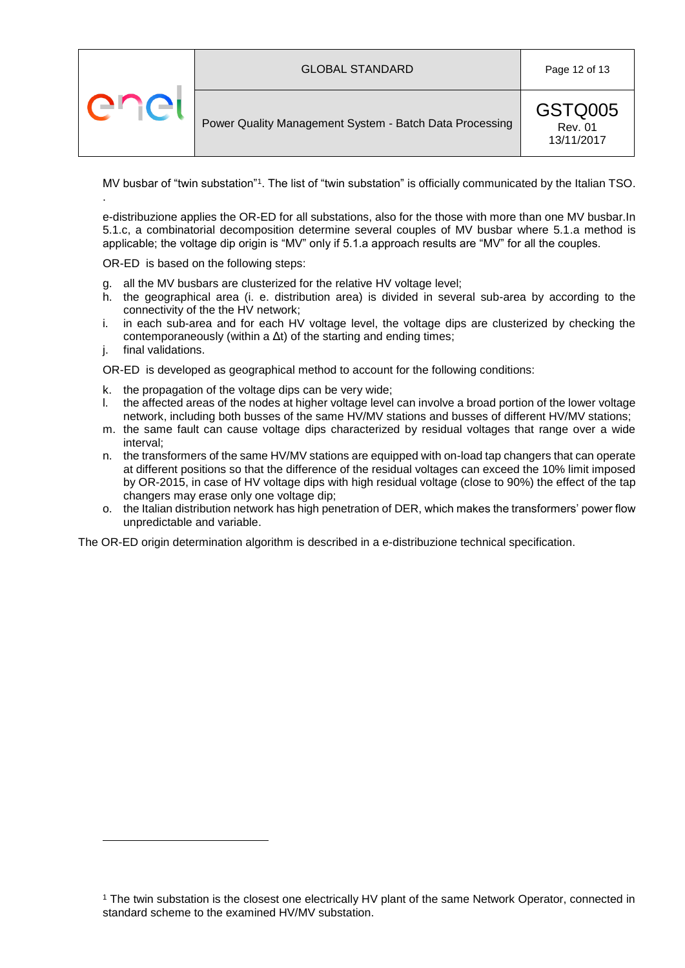



MV busbar of "twin substation"<sup>1</sup>. The list of "twin substation" is officially communicated by the Italian TSO. .

e-distribuzione applies the OR-ED for all substations, also for the those with more than one MV busbar.In 5.1.c, a combinatorial decomposition determine several couples of MV busbar where 5.1.a method is applicable; the voltage dip origin is "MV" only if 5.1.a approach results are "MV" for all the couples.

OR-ED is based on the following steps:

- g. all the MV busbars are clusterized for the relative HV voltage level;
- h. the geographical area (i. e. distribution area) is divided in several sub-area by according to the connectivity of the the HV network;
- i. in each sub-area and for each HV voltage level, the voltage dips are clusterized by checking the contemporaneously (within a  $\Delta t$ ) of the starting and ending times;
- j. final validations.

1

OR-ED is developed as geographical method to account for the following conditions:

- k. the propagation of the voltage dips can be very wide;
- l. the affected areas of the nodes at higher voltage level can involve a broad portion of the lower voltage network, including both busses of the same HV/MV stations and busses of different HV/MV stations;
- m. the same fault can cause voltage dips characterized by residual voltages that range over a wide interval;
- n. the transformers of the same HV/MV stations are equipped with on-load tap changers that can operate at different positions so that the difference of the residual voltages can exceed the 10% limit imposed by OR-2015, in case of HV voltage dips with high residual voltage (close to 90%) the effect of the tap changers may erase only one voltage dip;
- o. the Italian distribution network has high penetration of DER, which makes the transformers' power flow unpredictable and variable.

The OR-ED origin determination algorithm is described in a e-distribuzione technical specification.

<sup>1</sup> The twin substation is the closest one electrically HV plant of the same Network Operator, connected in standard scheme to the examined HV/MV substation.